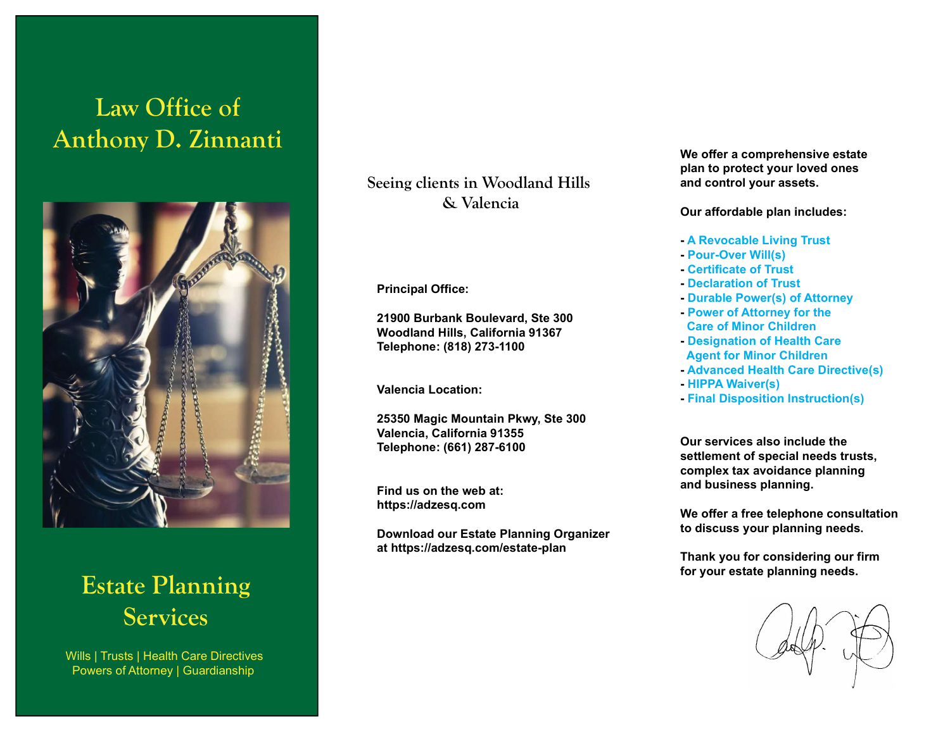# Law Office of Anthony D. Zinnanti



Estate Planning **Services** 

Wills | Trusts | Health Care Directives Powers of Attorney | Guardianship

Seeing clients in Woodland Hills & Valencia

Principal Office:

21900 Burbank Boulevard, Ste 300 Woodland Hills, California 91367 Telephone: (818) 273-1100

Valencia Location:

25350 Magic Mountain Pkwy, Ste 300 Valencia, California 91355 Telephone: (661) 287-6100

Find us on the web at: https://adzesq.com

Download our Estate Planning Organizer at https://adzesq.com/estate-plan

We offer a comprehensive estate plan to protect your loved ones and control your assets.

Our affordable plan includes:

- A Revocable Living Trust
- Pour-Over Will(s)
- Certificate of Trust
- Declaration of Trust
- Durable Power(s) of Attorney
- Power of Attorney for the Care of Minor Children
- Designation of Health Care Agent for Minor Children
- Advanced Health Care Directive(s)
- HIPPA Waiver(s)
- Final Disposition Instruction(s)

Our services also include the settlement of special needs trusts, complex tax avoidance planning and business planning.

We offer a free telephone consultation to discuss your planning needs.

Thank you for considering our firm for your estate planning needs.